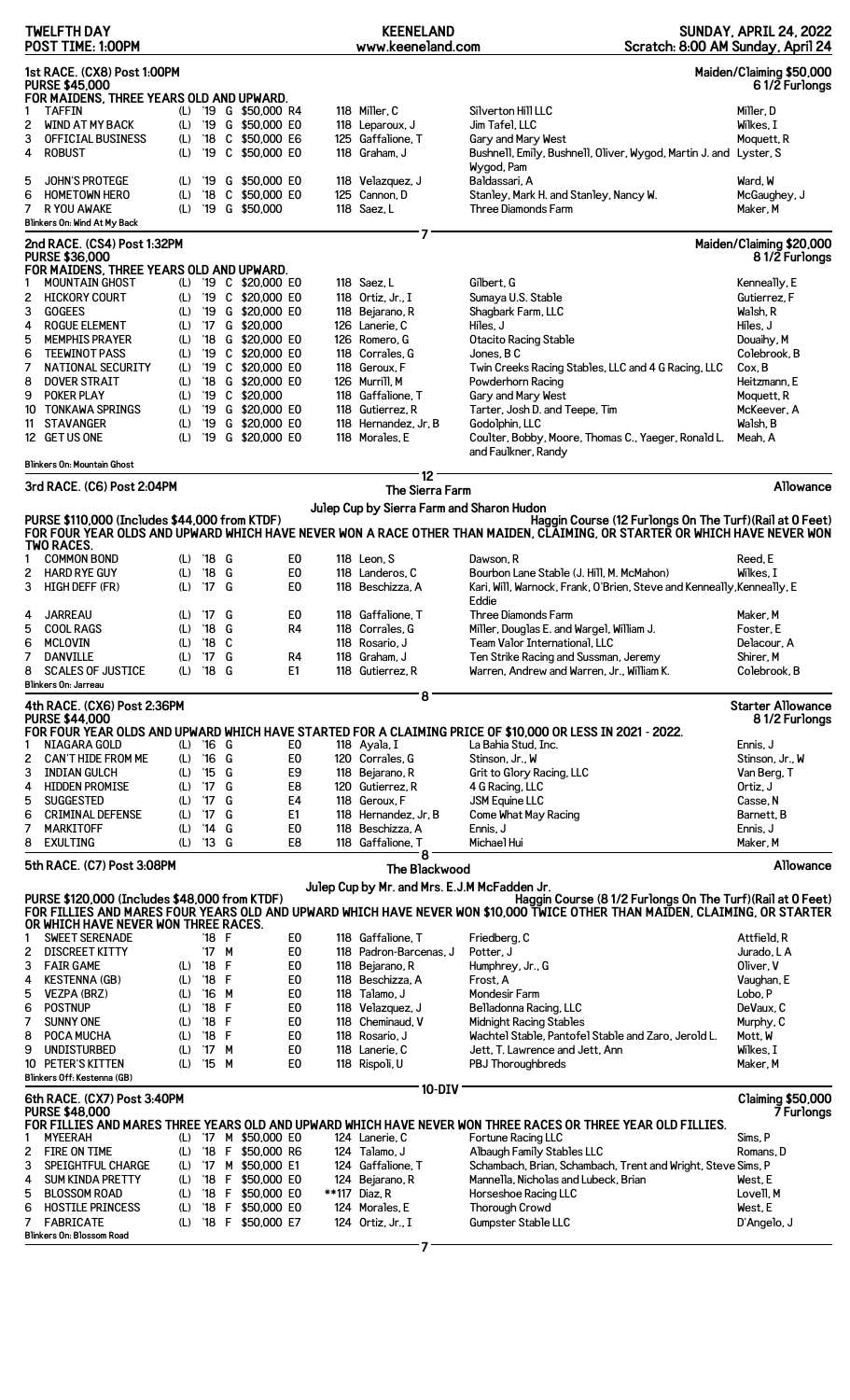|                                                                                                                                                                                                                                                                                     | <b>TWELFTH DAY</b><br>POST TIME: 1:00PM              |     |               |         |                       |                | <b>KEENELAND</b><br>www.keeneland.com |                      | Scratch: 8:00 AM Sunday, April 24                                                                                                                                                                                                  | <b>SUNDAY, APRIL 24, 2022</b> |
|-------------------------------------------------------------------------------------------------------------------------------------------------------------------------------------------------------------------------------------------------------------------------------------|------------------------------------------------------|-----|---------------|---------|-----------------------|----------------|---------------------------------------|----------------------|------------------------------------------------------------------------------------------------------------------------------------------------------------------------------------------------------------------------------------|-------------------------------|
| 1st RACE. (CX8) Post 1:00PM<br>Maiden/Claiming \$50,000<br><b>PURSE \$45,000</b><br>61/2 Furlongs<br>FOR MAIDENS, THREE YEARS OLD AND UPWARD.                                                                                                                                       |                                                      |     |               |         |                       |                |                                       |                      |                                                                                                                                                                                                                                    |                               |
| 1                                                                                                                                                                                                                                                                                   | <b>TAFFIN</b>                                        | (L) |               |         | '19 G \$50,000 R4     |                | 118 Miller, C                         |                      | Silverton Hill LLC                                                                                                                                                                                                                 | Miller, D                     |
| 2                                                                                                                                                                                                                                                                                   | <b>WIND AT MY BACK</b>                               | (L) |               |         | '19 G \$50,000 E0     |                | 118 Leparoux, J                       |                      | Jim Tafel, LLC                                                                                                                                                                                                                     | Wilkes, I                     |
| 3                                                                                                                                                                                                                                                                                   | <b>OFFICIAL BUSINESS</b>                             | (L) | '18           |         | C \$50,000 E6         |                | 125 Gaffalione, T                     |                      | Gary and Mary West                                                                                                                                                                                                                 | Moquett, R                    |
| 4                                                                                                                                                                                                                                                                                   | <b>ROBUST</b>                                        | (L) | '19           |         | C \$50,000 E0         |                | 118 Graham, J                         |                      | Bushnell, Emily, Bushnell, Oliver, Wygod, Martin J. and Lyster, S                                                                                                                                                                  |                               |
|                                                                                                                                                                                                                                                                                     |                                                      |     |               |         |                       |                |                                       |                      | Wygod, Pam                                                                                                                                                                                                                         |                               |
| 5                                                                                                                                                                                                                                                                                   | <b>JOHN'S PROTEGE</b>                                | (L) | '19           |         | G \$50,000 EO         |                | 118 Velazquez, J                      |                      | Baldassari, A                                                                                                                                                                                                                      | Ward, W                       |
| 6                                                                                                                                                                                                                                                                                   | <b>HOMETOWN HERO</b>                                 | (L) | $^{\prime}18$ |         | C \$50,000 E0         |                | 125 Cannon, D                         |                      | Stanley, Mark H. and Stanley, Nancy W.                                                                                                                                                                                             | McGaughey, J                  |
| 7                                                                                                                                                                                                                                                                                   | R YOU AWAKE<br>Blinkers On: Wind At My Back          | (L) |               |         | '19 G \$50,000        |                | 118 Saez, L                           |                      | Three Diamonds Farm                                                                                                                                                                                                                | Maker, M                      |
|                                                                                                                                                                                                                                                                                     |                                                      |     |               |         |                       |                |                                       | 7                    |                                                                                                                                                                                                                                    |                               |
|                                                                                                                                                                                                                                                                                     | 2nd RACE. (CS4) Post 1:32PM                          |     |               |         |                       |                |                                       |                      |                                                                                                                                                                                                                                    | Maiden/Claiming \$20,000      |
|                                                                                                                                                                                                                                                                                     | <b>PURSE \$36,000</b>                                |     |               |         |                       |                |                                       |                      |                                                                                                                                                                                                                                    | 81/2 Furlongs                 |
|                                                                                                                                                                                                                                                                                     | FOR MAIDENS, THREE YEARS OLD AND UPWARD.             |     |               |         |                       |                |                                       |                      |                                                                                                                                                                                                                                    |                               |
| 1                                                                                                                                                                                                                                                                                   | <b>MOUNTAIN GHOST</b>                                | (L) |               |         | '19 C \$20,000 E0     |                | 118 Saez, L                           |                      | Gilbert, G                                                                                                                                                                                                                         | Kenneally, E                  |
| 2                                                                                                                                                                                                                                                                                   | <b>HICKORY COURT</b>                                 | (L) |               |         | '19 C \$20,000 E0     |                | 118 Ortiz. Jr., I                     |                      | Sumaya U.S. Stable                                                                                                                                                                                                                 | Gutierrez, F                  |
| 3                                                                                                                                                                                                                                                                                   | <b>GOGEES</b>                                        | (L) | '19           |         | G \$20,000 E0         |                | 118 Bejarano, R                       |                      | Shagbark Farm, LLC                                                                                                                                                                                                                 | Walsh, R                      |
| 4                                                                                                                                                                                                                                                                                   | <b>ROGUE ELEMENT</b>                                 | (L) |               |         | '17 G \$20,000        |                | 126 Lanerie, C                        |                      | Hiles, J                                                                                                                                                                                                                           | Hiles. J                      |
| 5                                                                                                                                                                                                                                                                                   | <b>MEMPHIS PRAYER</b>                                | (L) | $^{\prime}18$ |         | G \$20,000 E0         |                | 126 Romero, G                         |                      | Otacito Racing Stable                                                                                                                                                                                                              | Douaihy, M                    |
| 6                                                                                                                                                                                                                                                                                   | <b>TEEWINOT PASS</b>                                 | (L) | '19           |         | C \$20,000 E0         |                | 118 Corrales, G                       |                      | Jones, B C                                                                                                                                                                                                                         | Colebrook. B                  |
| 7                                                                                                                                                                                                                                                                                   | <b>NATIONAL SECURITY</b>                             | (L) | '19           |         | C \$20,000 E0         |                | 118 Geroux, F                         |                      | Twin Creeks Racing Stables, LLC and 4 G Racing, LLC                                                                                                                                                                                | Cox, B                        |
| 8                                                                                                                                                                                                                                                                                   | <b>DOVER STRAIT</b>                                  | (L) | '18           |         | G \$20,000 EO         |                | 126 Murrill, M                        |                      | Powderhorn Racing                                                                                                                                                                                                                  | Heitzmann. E                  |
| 9                                                                                                                                                                                                                                                                                   | POKER PLAY                                           | (L) | '19           |         | C \$20,000            |                | 118 Gaffalione. T                     |                      | Gary and Mary West                                                                                                                                                                                                                 | Moquett, R                    |
| 10                                                                                                                                                                                                                                                                                  | <b>TONKAWA SPRINGS</b>                               | (L) | '19           |         | G \$20,000 E0         |                | 118 Gutierrez, R                      |                      | Tarter, Josh D. and Teepe, Tim                                                                                                                                                                                                     | McKeever, A                   |
| 11                                                                                                                                                                                                                                                                                  | <b>STAVANGER</b>                                     | (L) | '19           |         | G \$20,000 E0         |                | 118 Hernandez, Jr, B                  |                      | Godolphin, LLC                                                                                                                                                                                                                     | Walsh, B                      |
|                                                                                                                                                                                                                                                                                     | 12 GET US ONE                                        | (L) | '19           |         | G \$20,000 E0         |                | 118 Morales, E                        |                      | Coulter, Bobby, Moore, Thomas C., Yaeger, Ronald L.                                                                                                                                                                                | Meah, A                       |
|                                                                                                                                                                                                                                                                                     | Blinkers On: Mountain Ghost                          |     |               |         |                       |                |                                       |                      | and Faulkner, Randy                                                                                                                                                                                                                |                               |
|                                                                                                                                                                                                                                                                                     |                                                      |     |               |         |                       |                |                                       | 12 <sup>1</sup>      |                                                                                                                                                                                                                                    |                               |
|                                                                                                                                                                                                                                                                                     | 3rd RACE. (C6) Post 2:04PM                           |     |               |         |                       |                |                                       | The Sierra Farm      |                                                                                                                                                                                                                                    | Allowance                     |
|                                                                                                                                                                                                                                                                                     |                                                      |     |               |         |                       |                |                                       |                      |                                                                                                                                                                                                                                    |                               |
|                                                                                                                                                                                                                                                                                     | PURSE \$110,000 (Includes \$44,000 from KTDF)        |     |               |         |                       |                |                                       |                      | Julep Cup by Sierra Farm and Sharon Hudon<br>Haggin Course (12 Furlongs On The Turf) (Rail at 0 Feet)<br>FOR FOUR YEAR OLDS AND UPWARD WHICH HAVE NEVER WON A RACE OTHER THAN MAIDEN, CĽĂIMING, OR STARTEŘ OR WHICH HAVE NEVER WON |                               |
| 1                                                                                                                                                                                                                                                                                   | <b>TWO RACES.</b><br><b>COMMON BOND</b>              | (L) |               | '18 G   |                       | E <sub>0</sub> | 118 Leon, S                           |                      | Dawson, R                                                                                                                                                                                                                          | Reed, E                       |
| 2                                                                                                                                                                                                                                                                                   | <b>HARD RYE GUY</b>                                  | (L) | $^{\prime}18$ | G       |                       | E0             | 118 Landeros, C                       |                      | Bourbon Lane Stable (J. Hill, M. McMahon)                                                                                                                                                                                          | Wilkes. I                     |
| 3                                                                                                                                                                                                                                                                                   | HIGH DEFF (FR)                                       | (L) | '17 G         |         |                       | E0             | 118 Beschizza, A                      |                      | Kari, Will, Warnock, Frank, O'Brien, Steve and Kenneally, Kenneally, E                                                                                                                                                             |                               |
|                                                                                                                                                                                                                                                                                     |                                                      |     |               |         |                       |                |                                       |                      | Eddie                                                                                                                                                                                                                              |                               |
| 4                                                                                                                                                                                                                                                                                   | <b>JARREAU</b>                                       | (L) | '17           | G       |                       | E <sub>0</sub> | 118 Gaffalione, T                     |                      | <b>Three Diamonds Farm</b>                                                                                                                                                                                                         | Maker, M                      |
| 5                                                                                                                                                                                                                                                                                   | <b>COOL RAGS</b>                                     | (L) | '18 G         |         |                       | R4             | 118 Corrales, G                       |                      | Miller, Douglas E. and Wargel, William J.                                                                                                                                                                                          | Foster. E                     |
| 6                                                                                                                                                                                                                                                                                   | <b>MCLOVIN</b>                                       |     | (L) '18 C     |         |                       |                | 118 Rosario, J                        |                      | Team Valor International, LLC                                                                                                                                                                                                      | Delacour, A                   |
| 7                                                                                                                                                                                                                                                                                   | <b>DANVILLE</b>                                      | (L) | '17 G         |         |                       | R <sub>4</sub> | 118 Graham. J                         |                      | Ten Strike Racing and Sussman, Jeremy                                                                                                                                                                                              | Shirer, M                     |
| 8                                                                                                                                                                                                                                                                                   | <b>SCALES OF JUSTICE</b>                             | (L) | '18 G         |         |                       | E <sub>1</sub> | 118 Gutierrez, R                      |                      | Warren, Andrew and Warren, Jr., William K.                                                                                                                                                                                         | Colebrook, B                  |
|                                                                                                                                                                                                                                                                                     | Blinkers On: Jarreau                                 |     |               |         |                       |                |                                       |                      |                                                                                                                                                                                                                                    |                               |
|                                                                                                                                                                                                                                                                                     |                                                      |     |               |         |                       |                |                                       | 8                    |                                                                                                                                                                                                                                    |                               |
|                                                                                                                                                                                                                                                                                     | 4th RACE. (CX6) Post 2:36PM                          |     |               |         |                       |                |                                       |                      |                                                                                                                                                                                                                                    | <b>Starter Allowance</b>      |
|                                                                                                                                                                                                                                                                                     | <b>PURSE \$44,000</b>                                |     |               |         |                       |                |                                       |                      |                                                                                                                                                                                                                                    | 81/2 Furlongs                 |
|                                                                                                                                                                                                                                                                                     |                                                      |     |               |         |                       |                |                                       |                      | FOR FOUR YEAR OLDS AND UPWARD WHICH HAVE STARTED FOR A CLAIMING PRICE OF \$10,000 OR LESS IN 2021 - 2022.                                                                                                                          |                               |
| 1                                                                                                                                                                                                                                                                                   | NIAGARA GOLD                                         | (L) | $'16$ G       |         |                       | E0             | 118 Ayala, I<br>120 Corrales. G       |                      | La Bahia Stud, Inc.                                                                                                                                                                                                                | Ennis, J                      |
| 2                                                                                                                                                                                                                                                                                   | <b>CAN'T HIDE FROM ME</b>                            | (L) | $'16$ G       |         |                       | E <sub>0</sub> |                                       |                      | Stinson, Jr., W                                                                                                                                                                                                                    | Stinson, Jr., W               |
| 3                                                                                                                                                                                                                                                                                   | <b>INDIAN GULCH</b>                                  | (L) | $^{\prime}15$ | G       |                       | E9             | 118 Bejarano, R                       |                      | Grit to Glory Racing, LLC                                                                                                                                                                                                          | Van Berg, T                   |
| 4                                                                                                                                                                                                                                                                                   | <b>HIDDEN PROMISE</b>                                | (L) | $^{\prime}17$ | G       |                       | E8             | 120 Gutierrez, R                      |                      | 4 G Racing, LLC                                                                                                                                                                                                                    | Ortiz, J                      |
| 5                                                                                                                                                                                                                                                                                   | <b>SUGGESTED</b>                                     | (L) | 17            | G       |                       | E4             | 118 Geroux, F                         |                      | JSM Equine LLC                                                                                                                                                                                                                     | Casse. N                      |
| 6                                                                                                                                                                                                                                                                                   | <b>CRIMINAL DEFENSE</b>                              | (L) | $^{\prime}17$ | G       |                       | E <sub>1</sub> | 118 Hernandez, Jr, B                  |                      | Come What May Racing                                                                                                                                                                                                               | Barnett, B                    |
| 7                                                                                                                                                                                                                                                                                   | <b>MARKITOFF</b>                                     | (L) | $^{\prime}14$ | G       |                       | E <sub>0</sub> | 118 Beschizza, A                      |                      | Ennis, J                                                                                                                                                                                                                           | Ennis, J                      |
| 8                                                                                                                                                                                                                                                                                   | <b>EXULTING</b>                                      | (L) | $'13$ G       |         |                       | E8             | 118 Gaffalione, T                     | 8                    | Michael Hui                                                                                                                                                                                                                        | Maker, M                      |
|                                                                                                                                                                                                                                                                                     | 5th RACE. (C7) Post 3:08PM                           |     |               |         |                       |                |                                       | <b>The Blackwood</b> |                                                                                                                                                                                                                                    | Allowance                     |
|                                                                                                                                                                                                                                                                                     |                                                      |     |               |         |                       |                |                                       |                      |                                                                                                                                                                                                                                    |                               |
|                                                                                                                                                                                                                                                                                     |                                                      |     |               |         |                       |                |                                       |                      | Julep Cup by Mr. and Mrs. E.J.M McFadden Jr.                                                                                                                                                                                       |                               |
| PURSE \$120,000 (Includes \$48,000 from KTDF)<br>Haggin Course (8 1/2 Furlongs On The Turf) (Rail at 0 Feet)<br>FOR FILLIES AND MARES FOUR YEARS OLD AND UPWARD WHICH HAVE NEVER WON \$10,000 TWICE OTHER THAN MAIDEN, CLAIMING, OR STARTER<br>OR WHICH HAVE NEVER WON THREE RACES. |                                                      |     |               |         |                       |                |                                       |                      |                                                                                                                                                                                                                                    |                               |
| 1                                                                                                                                                                                                                                                                                   | <b>SWEET SERENADE</b>                                |     |               | '18 F   |                       | E <sub>0</sub> | 118 Gaffalione, T                     |                      | Friedberg, C                                                                                                                                                                                                                       | Attfield, R                   |
| 2                                                                                                                                                                                                                                                                                   | <b>DISCREET KITTY</b>                                |     |               | '17 M   |                       | E <sub>0</sub> | 118 Padron-Barcenas, J                |                      | Potter, J                                                                                                                                                                                                                          | Jurado, L A                   |
| 3                                                                                                                                                                                                                                                                                   | <b>FAIR GAME</b>                                     | (L) | $^{\prime}18$ | F       |                       | E <sub>0</sub> | 118 Bejarano, R                       |                      | Humphrey, Jr., G                                                                                                                                                                                                                   | Oliver, V                     |
| 4                                                                                                                                                                                                                                                                                   | <b>KESTENNA (GB)</b>                                 | (L) | '18           | F       |                       | E <sub>0</sub> | 118 Beschizza, A                      |                      | Frost, A                                                                                                                                                                                                                           | Vaughan, E                    |
| 5                                                                                                                                                                                                                                                                                   | <b>VEZPA (BRZ)</b>                                   | (L) | $^{\prime}16$ | M       |                       | E <sub>0</sub> | 118 Talamo, J                         |                      | Mondesir Farm                                                                                                                                                                                                                      | Lobo, P                       |
| 6                                                                                                                                                                                                                                                                                   | <b>POSTNUP</b>                                       | (L) | $^{\prime}18$ | F       |                       | E <sub>0</sub> | 118 Velazquez, J                      |                      | Belladonna Racing, LLC                                                                                                                                                                                                             | DeVaux, C                     |
| 7                                                                                                                                                                                                                                                                                   | <b>SUNNY ONE</b>                                     | (L) | $^{\prime}18$ | F       |                       | E <sub>0</sub> | 118 Cheminaud, V                      |                      | Midnight Racing Stables                                                                                                                                                                                                            | Murphy, C                     |
| 8                                                                                                                                                                                                                                                                                   | POCA MUCHA                                           | (L) | $^{\prime}18$ | F       |                       | E <sub>0</sub> | 118 Rosario, J                        |                      | Wachtel Stable, Pantofel Stable and Zaro, Jerold L.                                                                                                                                                                                | Mott, W                       |
| 9                                                                                                                                                                                                                                                                                   | <b>UNDISTURBED</b>                                   | (L) | '17           | M       |                       | E <sub>0</sub> | 118 Lanerie, C                        |                      | Jett, T. Lawrence and Jett, Ann                                                                                                                                                                                                    | Wilkes, I                     |
|                                                                                                                                                                                                                                                                                     | 10 PETER'S KITTEN                                    | (L) | '15 M         |         |                       | E <sub>0</sub> | 118 Rispoli, U                        |                      | PBJ Thoroughbreds                                                                                                                                                                                                                  | Maker, M                      |
|                                                                                                                                                                                                                                                                                     | Blinkers Off: Kestenna (GB)                          |     |               |         |                       |                |                                       |                      |                                                                                                                                                                                                                                    |                               |
|                                                                                                                                                                                                                                                                                     |                                                      |     |               |         |                       |                |                                       | $10-DIV$             |                                                                                                                                                                                                                                    |                               |
|                                                                                                                                                                                                                                                                                     | 6th RACE. (CX7) Post 3:40PM                          |     |               |         |                       |                |                                       |                      |                                                                                                                                                                                                                                    | <b>Claiming \$50,000</b>      |
|                                                                                                                                                                                                                                                                                     | <b>PURSE \$48,000</b>                                |     |               |         |                       |                |                                       |                      |                                                                                                                                                                                                                                    | 7 Furlongs                    |
|                                                                                                                                                                                                                                                                                     |                                                      |     |               |         |                       |                |                                       |                      | FOR FILLIES AND MARES THREE YEARS OLD AND UPWARD WHICH HAVE NEVER WON THREE RACES OR THREE YEAR OLD FILLIES.                                                                                                                       |                               |
| 1                                                                                                                                                                                                                                                                                   | <b>MYEERAH</b>                                       |     |               |         | (L) '17 M \$50,000 E0 |                | 124 Lanerie, C                        |                      | Fortune Racing LLC                                                                                                                                                                                                                 | Sims, P                       |
| 2                                                                                                                                                                                                                                                                                   | FIRE ON TIME                                         | (L) |               |         | '18 F \$50,000 R6     |                | 124 Talamo. J                         |                      | Albaugh Family Stables LLC                                                                                                                                                                                                         | Romans, D                     |
| 3                                                                                                                                                                                                                                                                                   | <b>SPEIGHTFUL CHARGE</b>                             | (L) |               |         | '17 M \$50,000 E1     |                | 124 Gaffalione. T                     |                      | Schambach, Brian, Schambach, Trent and Wright, Steve Sims, P                                                                                                                                                                       |                               |
| 4                                                                                                                                                                                                                                                                                   | <b>SUM KINDA PRETTY</b>                              | (L) |               |         | '18 F \$50,000 E0     |                | 124 Bejarano, R                       |                      | Mannella, Nicholas and Lubeck, Brian                                                                                                                                                                                               | West, E                       |
| 5                                                                                                                                                                                                                                                                                   | <b>BLOSSOM ROAD</b>                                  | (L) |               |         | '18 F \$50,000 E0     |                | **117 Diaz, R                         |                      | Horseshoe Racing LLC                                                                                                                                                                                                               | Lovell, M                     |
| 6                                                                                                                                                                                                                                                                                   | <b>HOSTILE PRINCESS</b>                              | (L) |               | $'18$ F | \$50,000 E0           |                | 124 Morales, E                        |                      | Thorough Crowd                                                                                                                                                                                                                     | West, E                       |
| 7                                                                                                                                                                                                                                                                                   | <b>FABRICATE</b><br><b>Blinkers On: Blossom Road</b> | (L) |               |         | '18 F \$50,000 E7     |                | 124 Ortiz, Jr., I                     |                      | Gumpster Stable LLC                                                                                                                                                                                                                | D'Angelo, J                   |

**7**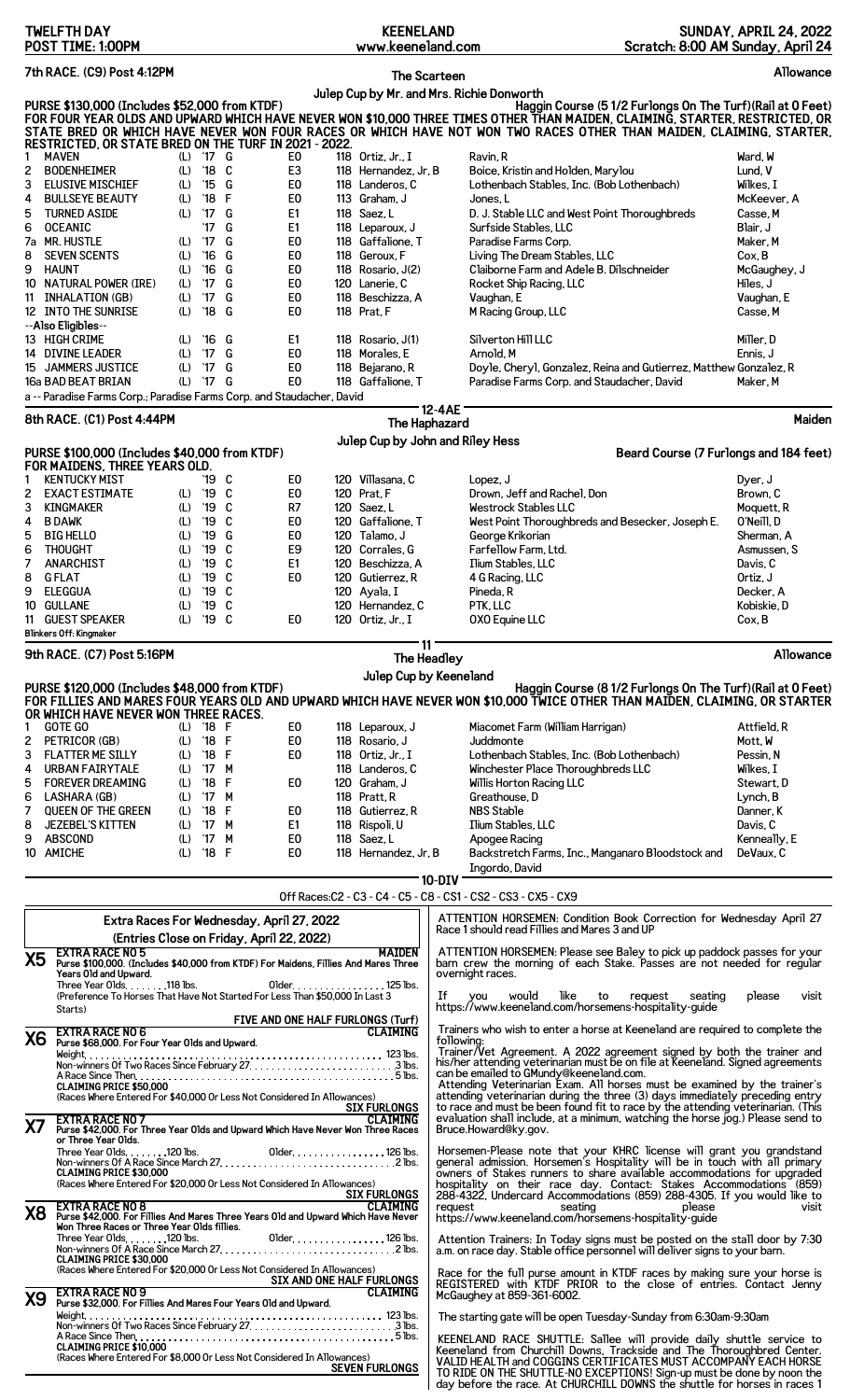|                                                                                                                                                                                                                                                                                                                                                                                                                                                         | <b>TWELFTH DAY</b><br>POST TIME: 1:00PM                                                                                                                                                                                                                                                                        |                                                                           |                                                                                                                                                                              |                                                          |                                                                                                                                                    |  | <b>KEENELAND</b><br>www.keeneland.com                                                                                                                                                                                                                |             | Scratch: 8:00 AM Sunday, April 24                                                                                                                                                                                                                                                                                                                                                                                                                                                                                                      | <b>SUNDAY, APRIL 24, 2022</b>                                                                                                                                   |
|---------------------------------------------------------------------------------------------------------------------------------------------------------------------------------------------------------------------------------------------------------------------------------------------------------------------------------------------------------------------------------------------------------------------------------------------------------|----------------------------------------------------------------------------------------------------------------------------------------------------------------------------------------------------------------------------------------------------------------------------------------------------------------|---------------------------------------------------------------------------|------------------------------------------------------------------------------------------------------------------------------------------------------------------------------|----------------------------------------------------------|----------------------------------------------------------------------------------------------------------------------------------------------------|--|------------------------------------------------------------------------------------------------------------------------------------------------------------------------------------------------------------------------------------------------------|-------------|----------------------------------------------------------------------------------------------------------------------------------------------------------------------------------------------------------------------------------------------------------------------------------------------------------------------------------------------------------------------------------------------------------------------------------------------------------------------------------------------------------------------------------------|-----------------------------------------------------------------------------------------------------------------------------------------------------------------|
|                                                                                                                                                                                                                                                                                                                                                                                                                                                         | 7th RACE. (C9) Post 4:12PM                                                                                                                                                                                                                                                                                     |                                                                           |                                                                                                                                                                              |                                                          |                                                                                                                                                    |  | The Scarteen                                                                                                                                                                                                                                         |             |                                                                                                                                                                                                                                                                                                                                                                                                                                                                                                                                        | Allowance                                                                                                                                                       |
| Julep Cup by Mr. and Mrs. Richie Donworth<br>PURSE \$130,000 (Includes \$52,000 from KTDF)<br>Haggin Course (51/2 Furlongs On The Turf) (Rail at 0 Feet)<br>FOR FOUR YEAR OLDS AND UPWARD WHICH HAVE NEVER WON \$10,000 THREE TIMES OTHER THAN MAIDEN, CLAIMING, STARTER, RESTRICTED, OR<br>STATE BRED OR WHICH HAVE NEVER WON FOUR RACES OR WHICH HAVE NOT WON TWO RACES OTHER THAN MAIDEN, C<br>RESTRICTED, OR STATE BRED ON THE TURF IN 2021 - 2022. |                                                                                                                                                                                                                                                                                                                |                                                                           |                                                                                                                                                                              |                                                          |                                                                                                                                                    |  |                                                                                                                                                                                                                                                      |             |                                                                                                                                                                                                                                                                                                                                                                                                                                                                                                                                        |                                                                                                                                                                 |
| 1<br>2<br>3<br>4<br>5<br>6<br>8<br>9<br>10<br>11                                                                                                                                                                                                                                                                                                                                                                                                        | <b>MAVEN</b><br><b>BODENHEIMER</b><br><b>ELUSIVE MISCHIEF</b><br><b>BULLSEYE BEAUTY</b><br><b>TURNED ASIDE</b><br><b>OCEANIC</b><br>7a MR. HUSTLE<br><b>SEVEN SCENTS</b><br><b>HAUNT</b><br><b>NATURAL POWER (IRE)</b><br><b>INHALATION (GB)</b><br>12 INTO THE SUNRISE<br>--Also Eligibles--<br>13 HIGH CRIME | (L)<br>(L)<br>(L)<br>(L)<br>(L)<br>(L)<br>(L)<br>(L)<br>(L)<br>(L)<br>(L) | (L) '17 G<br>$^{\prime}18$<br>$^{\prime}15$<br>'18<br>'17<br>17<br>$^{\prime}17$<br>$^{\prime}16$<br>$^{\prime}16$<br>$^{\prime}17$<br>'17<br>$^{\prime}18$<br>$^{\prime}16$ | C<br>G<br>F<br>G<br>G<br>G<br>G<br>G<br>G<br>G<br>G<br>G | E0<br>E <sub>3</sub><br>E <sub>0</sub><br>E <sub>0</sub><br>E1<br>E1<br>E <sub>0</sub><br>E <sub>0</sub><br>E0<br>E0<br>E0<br>E <sub>0</sub><br>E1 |  | 118 Ortiz, Jr., I<br>118 Hernandez, Jr, B<br>118 Landeros, C<br>113 Graham, J<br>118 Saez, L<br>118 Leparoux, J<br>118 Gaffalione, T<br>118 Geroux, F<br>118 Rosario, J(2)<br>120 Lanerie, C<br>118 Beschizza, A<br>118 Prat, F<br>118 Rosario, J(1) |             | Ravin, R<br>Boice, Kristin and Holden, Marylou<br>Lothenbach Stables, Inc. (Bob Lothenbach)<br>Jones, L<br>D. J. Stable LLC and West Point Thoroughbreds<br>Surfside Stables, LLC<br>Paradise Farms Corp.<br>Living The Dream Stables, LLC<br>Claiborne Farm and Adele B. Dilschneider<br>Rocket Ship Racing, LLC<br>Vaughan, E<br>M Racing Group, LLC<br>Silverton Hill LLC                                                                                                                                                           | Ward, W<br>Lund, V<br>Wilkes, I<br>McKeever, A<br>Casse, M<br>Blair, J<br>Maker, M<br>Cox, B<br>McGaughey, J<br>Hiles, J<br>Vaughan, E<br>Casse, M<br>Miller, D |
|                                                                                                                                                                                                                                                                                                                                                                                                                                                         | 14 DIVINE LEADER<br>15 JAMMERS JUSTICE<br>16a BAD BEAT BRIAN                                                                                                                                                                                                                                                   | (L)<br>(L)<br>(L)                                                         | $^{\prime}$ 17<br>$^{\prime}17$<br>'17 G                                                                                                                                     | G<br>G                                                   | E <sub>0</sub><br>E <sub>0</sub><br>E <sub>0</sub>                                                                                                 |  | 118 Morales, E<br>118 Bejarano, R<br>118 Gaffalione, T                                                                                                                                                                                               |             | Arnold, M<br>Doyle, Cheryl, Gonzalez, Reina and Gutierrez, Matthew Gonzalez, R<br>Paradise Farms Corp. and Staudacher, David                                                                                                                                                                                                                                                                                                                                                                                                           | Ennis, J<br>Maker, M                                                                                                                                            |
|                                                                                                                                                                                                                                                                                                                                                                                                                                                         | a -- Paradise Farms Corp.; Paradise Farms Corp. and Staudacher, David<br>8th RACE. (C1) Post 4:44PM                                                                                                                                                                                                            |                                                                           |                                                                                                                                                                              |                                                          |                                                                                                                                                    |  |                                                                                                                                                                                                                                                      | 12-4AE      |                                                                                                                                                                                                                                                                                                                                                                                                                                                                                                                                        | Maiden                                                                                                                                                          |
|                                                                                                                                                                                                                                                                                                                                                                                                                                                         |                                                                                                                                                                                                                                                                                                                |                                                                           |                                                                                                                                                                              |                                                          |                                                                                                                                                    |  | The Haphazard<br>Julep Cup by John and Riley Hess                                                                                                                                                                                                    |             |                                                                                                                                                                                                                                                                                                                                                                                                                                                                                                                                        |                                                                                                                                                                 |
|                                                                                                                                                                                                                                                                                                                                                                                                                                                         | PURSE \$100,000 (Includes \$40,000 from KTDF)<br>FOR MAIDENS, THREE YEARS OLD.                                                                                                                                                                                                                                 |                                                                           |                                                                                                                                                                              |                                                          |                                                                                                                                                    |  |                                                                                                                                                                                                                                                      |             | Beard Course (7 Furlongs and 184 feet)                                                                                                                                                                                                                                                                                                                                                                                                                                                                                                 |                                                                                                                                                                 |
| 1<br>2<br>3<br>4<br>5<br>6<br>7<br>8<br>9<br>10<br>11                                                                                                                                                                                                                                                                                                                                                                                                   | <b>KENTUCKY MIST</b><br><b>EXACT ESTIMATE</b><br>KINGMAKER<br><b>B DAWK</b><br><b>BIG HELLO</b><br><b>THOUGHT</b><br><b>ANARCHIST</b><br><b>GFLAT</b><br><b>ELEGGUA</b><br><b>GULLANE</b><br><b>GUEST SPEAKER</b>                                                                                              | (L)<br>(L)<br>(L)<br>(L)<br>(L)<br>(L)<br>(L)<br>(L)<br>(L)<br>(L)        | '19<br>$^{\prime}19$<br>'19<br>'19<br>'19<br>'19<br>'19<br>'19<br>'19<br>'19<br>'19                                                                                          | C<br>C<br>C<br>C<br>G<br>C<br>C<br>C<br>C<br>C<br>C      | E <sub>0</sub><br>E <sub>0</sub><br>R7<br>E <sub>0</sub><br>E0<br>E9<br>E1<br>E0<br>E0                                                             |  | 120 Villasana, C<br>120 Prat, F<br>120 Saez, L<br>120 Gaffalione, T<br>120 Talamo, J<br>120 Corrales, G<br>120 Beschizza, A<br>120 Gutierrez, R<br>120 Ayala, I<br>120 Hernandez, C<br>120 Ortiz, Jr., I                                             |             | Lopez, J<br>Drown, Jeff and Rachel, Don<br>Westrock Stables LLC<br>West Point Thoroughbreds and Besecker, Joseph E.<br>George Krikorian<br>Farfellow Farm, Ltd.<br>Ilium Stables, LLC<br>4 G Racing, LLC<br>Pineda, R<br>PTK, LLC<br>OXO Equine LLC                                                                                                                                                                                                                                                                                    | Dyer, J<br>Brown, C<br>Moquett, R<br>O'Neill, D<br>Sherman, A<br>Asmussen, S<br>Davis, C<br>Ortiz, J<br>Decker, A<br>Kobiskie, D<br>Cox, B                      |
|                                                                                                                                                                                                                                                                                                                                                                                                                                                         | Blinkers Off: Kingmaker<br>9th RACE. (C7) Post 5:16PM                                                                                                                                                                                                                                                          |                                                                           |                                                                                                                                                                              |                                                          |                                                                                                                                                    |  | 11                                                                                                                                                                                                                                                   | The Headley |                                                                                                                                                                                                                                                                                                                                                                                                                                                                                                                                        | Allowance                                                                                                                                                       |
|                                                                                                                                                                                                                                                                                                                                                                                                                                                         | PURSE \$120,000 (Includes \$48,000 from KTDF)                                                                                                                                                                                                                                                                  |                                                                           |                                                                                                                                                                              |                                                          |                                                                                                                                                    |  | Julep Cup by Keeneland                                                                                                                                                                                                                               |             | Haggin Course (8 1/2 Furlongs On The Turf) (Rail at 0 Feet)                                                                                                                                                                                                                                                                                                                                                                                                                                                                            |                                                                                                                                                                 |
|                                                                                                                                                                                                                                                                                                                                                                                                                                                         | OR WHICH HAVE NEVER WON THREE RACES.                                                                                                                                                                                                                                                                           |                                                                           |                                                                                                                                                                              |                                                          |                                                                                                                                                    |  |                                                                                                                                                                                                                                                      |             | FOR FILLIES AND MARES FOUR YEARS OLD AND UPWARD WHICH HAVE NEVER WON \$10,000 TWICE OTHER THAN MAIDEN, CLAIMING, OR STARTER                                                                                                                                                                                                                                                                                                                                                                                                            |                                                                                                                                                                 |
| 1<br>2<br>3<br>4<br>5<br>6<br>7<br>8<br>9                                                                                                                                                                                                                                                                                                                                                                                                               | <b>GOTE GO</b><br>PETRICOR (GB)<br><b>FLATTER ME SILLY</b><br><b>URBAN FAIRYTALE</b><br><b>FOREVER DREAMING</b><br>LASHARA (GB)<br><b>QUEEN OF THE GREEN</b><br><b>JEZEBEL'S KITTEN</b><br><b>ABSCOND</b><br>10 AMICHE                                                                                         | (L)<br>(L)<br>(L)<br>(L)                                                  | (L) '18 F<br>'18 F<br>'18 F<br>(L) '17 M<br>'18<br>(L) '17 M<br>'18<br>(L) '17 M<br>(L) '17 M<br>$(L)$ '18 F                                                                 | F<br>F                                                   | E0<br>E <sub>0</sub><br>E <sub>0</sub><br>E0<br>E0<br>E1<br>E0<br>E <sub>0</sub>                                                                   |  | 118 Leparoux, J<br>118 Rosario, J<br>118 Ortiz. Jr., I<br>118 Landeros, C<br>120 Graham, J<br>118 Pratt.R<br>118 Gutierrez. R<br>118 Rispoli, U<br>118 Saez, L<br>118 Hernandez, Jr, B                                                               |             | Miacomet Farm (William Harrigan)<br>Juddmonte<br>Lothenbach Stables, Inc. (Bob Lothenbach)<br>Winchester Place Thoroughbreds LLC<br>Willis Horton Racing LLC<br>Greathouse, D<br><b>NBS Stable</b><br>Ilium Stables, LLC<br>Apogee Racing<br>Backstretch Farms, Inc., Manganaro Bloodstock and<br>Ingordo, David                                                                                                                                                                                                                       | Attfield, R<br>Mott, W<br>Pessin, N<br>Wilkes, I<br>Stewart, D<br>Lynch, B<br>Danner, K<br>Davis, C<br>Kenneally, E<br>DeVaux, C                                |
| $10-DIV$<br>Off Races:C2 - C3 - C4 - C5 - C8 - CS1 - CS2 - CS3 - CX5 - CX9                                                                                                                                                                                                                                                                                                                                                                              |                                                                                                                                                                                                                                                                                                                |                                                                           |                                                                                                                                                                              |                                                          |                                                                                                                                                    |  |                                                                                                                                                                                                                                                      |             |                                                                                                                                                                                                                                                                                                                                                                                                                                                                                                                                        |                                                                                                                                                                 |
| <b>X5</b>                                                                                                                                                                                                                                                                                                                                                                                                                                               | <b>EXTRA RACE NO 5</b><br>Purse \$100,000. (Includes \$40,000 from KTDF) For Maidens, Fillies And Mares Three<br>Years Old and Upward.<br>Three Year Olds. 118 lbs.<br>(Preference To Horses That Have Not Started For Less Than \$50,000 In Last 3<br>Starts)                                                 |                                                                           |                                                                                                                                                                              |                                                          | Extra Races For Wednesday, April 27, 2022<br>(Entries Close on Friday, April 22, 2022)                                                             |  | <b>MAIDEN</b><br>01 der. 125 lbs.                                                                                                                                                                                                                    | If          | ATTENTION HORSEMEN: Condition Book Correction for Wednesday April 27<br>Race 1 should read Fillies and Mares 3 and UP<br>ATTENTION HORSEMEN: Please see Baley to pick up paddock passes for your<br>barn crew the morning of each Stake. Passes are not needed for regular<br>overnight races.<br>would<br>like<br>you<br>to<br>request<br>seating<br>https://www.keeneland.com/horsemens-hospitality-guide                                                                                                                            | please<br>visit                                                                                                                                                 |
|                                                                                                                                                                                                                                                                                                                                                                                                                                                         | <b>EXTRA RACE NO 6</b>                                                                                                                                                                                                                                                                                         |                                                                           |                                                                                                                                                                              |                                                          | FIVE AND ONE HALF FURLONGS (Turf)                                                                                                                  |  | <b>CLAIMING</b>                                                                                                                                                                                                                                      |             | Trainers who wish to enter a horse at Keeneland are required to complete the                                                                                                                                                                                                                                                                                                                                                                                                                                                           |                                                                                                                                                                 |
| XZ                                                                                                                                                                                                                                                                                                                                                                                                                                                      | X6 EXIRA RAUE IND O EXT YEAR Olds and Upward.<br><b>CLAIMING PRICE \$50,000</b><br>(Races Where Entered For \$40,000 Or Less Not Considered In Allowances)<br><b>EXTRA RACE NO 7</b>                                                                                                                           |                                                                           |                                                                                                                                                                              |                                                          |                                                                                                                                                    |  | <b>SIX FURLONGS</b><br><b>CLAIMING</b>                                                                                                                                                                                                               | following:  | Trainer/Vet Agreement. A 2022 agreement signed by both the trainer and<br>his/her attending veterinarian must be on file at Keeneland. Signed agreements<br>can be emailed to GMundy@keeneland.com.<br>Attending Veterinarian Exam. All horses must be examined by the trainer's<br>attending veterinarian during the three (3) days immediately preceding entry<br>to race and must be been found fit to race by the attending veterinarian. (This<br>evaluation shall include, at a minimum, watching the horse jog.) Please send to |                                                                                                                                                                 |
|                                                                                                                                                                                                                                                                                                                                                                                                                                                         | Purse \$42,000. For Three Year Olds and Upward Which Have Never Won Three Races<br>or Three Year Olds.<br>Three Year Olds120 lbs.<br><b>CLAIMING PRICE \$30,000</b><br>(Races Where Entered For \$20,000 Or Less Not Considered In Allowances)                                                                 |                                                                           |                                                                                                                                                                              |                                                          |                                                                                                                                                    |  | Older. 126 lbs.<br><b>SIX FURLONGS</b>                                                                                                                                                                                                               |             | Bruce.Howard@ky.gov.<br>Horsemen-Please note that your KHRC license will grant you grandstand<br>general admission. Horsemen's Hospitality will be in touch with all primary<br>owners of Stakes runners to share available accommodations for upgraded<br>hospitality on their race day. Contact: Stakes Accommodations (859)<br>288-4322, Undercard Accommodations (859) 288-4305. If you would like to                                                                                                                              |                                                                                                                                                                 |
| <b>X8</b>                                                                                                                                                                                                                                                                                                                                                                                                                                               | <b>EXTRA RACE NO 8</b><br>Purse \$42,000. For Fillies And Mares Three Years Old and Upward Which Have Never<br>Won Three Races or Three Year Olds fillies.<br>Three Year Olds. 120 lbs.                                                                                                                        |                                                                           |                                                                                                                                                                              |                                                          |                                                                                                                                                    |  | <b>CLAIMING</b><br>Older. 126 lbs.                                                                                                                                                                                                                   |             | request<br>seating the seating<br>please<br>https://www.keeneland.com/horsemens-hospitality-guide<br>Attention Trainers. In Today signs must be posted on the stall door by 7:30                                                                                                                                                                                                                                                                                                                                                       | visit                                                                                                                                                           |
|                                                                                                                                                                                                                                                                                                                                                                                                                                                         | <b>CLAIMING PRICE \$30.000</b><br>(Races Where Entered For \$20,000 Or Less Not Considered In Allowances)                                                                                                                                                                                                      |                                                                           |                                                                                                                                                                              |                                                          |                                                                                                                                                    |  | SIX AND ONE HALF FURLONGS                                                                                                                                                                                                                            |             | a.m. on race day. Stable office personnel will deliver signs to your barn.<br>Race for the full purse amount in KTDF races by making sure your horse is<br>REGISTERED with KTDF PRIOR to the close of entries. Contact Jenny                                                                                                                                                                                                                                                                                                           |                                                                                                                                                                 |
| X9                                                                                                                                                                                                                                                                                                                                                                                                                                                      | <b>EXTRA RACE NO 9</b><br>Purse \$32,000. For Fillies And Mares Four Years Old and Upward.                                                                                                                                                                                                                     |                                                                           |                                                                                                                                                                              |                                                          |                                                                                                                                                    |  | CLAIMING                                                                                                                                                                                                                                             |             | McGaughey at 859-361-6002.<br>The starting gate will be open Tuesday-Sunday from 6:30am-9:30am                                                                                                                                                                                                                                                                                                                                                                                                                                         |                                                                                                                                                                 |
|                                                                                                                                                                                                                                                                                                                                                                                                                                                         | A Race Since Then<br><b>CLAIMING PRICE \$10,000</b><br>(Races Where Entered For \$8,000 Or Less Not Considered In Allowances)                                                                                                                                                                                  |                                                                           |                                                                                                                                                                              |                                                          |                                                                                                                                                    |  | <b>SEVEN FURLONGS</b>                                                                                                                                                                                                                                |             | KEENELAND RACE SHUTTLE: Sallee will provide daily shuttle service to<br>Keeneland from Churchill Downs, Trackside and The Thoroughbred Center.<br>VALID HEALTH and COGGINS CERTIFICATES MUST ACCOMPANY EACH HORSE<br>TO RIDE ON THE SHUTTLE-NO EXCEPTIONS! Sign-up must be done by noon the<br>day before the race. At CHURCHILL DOWNS the shuttle for horses in races 1                                                                                                                                                               |                                                                                                                                                                 |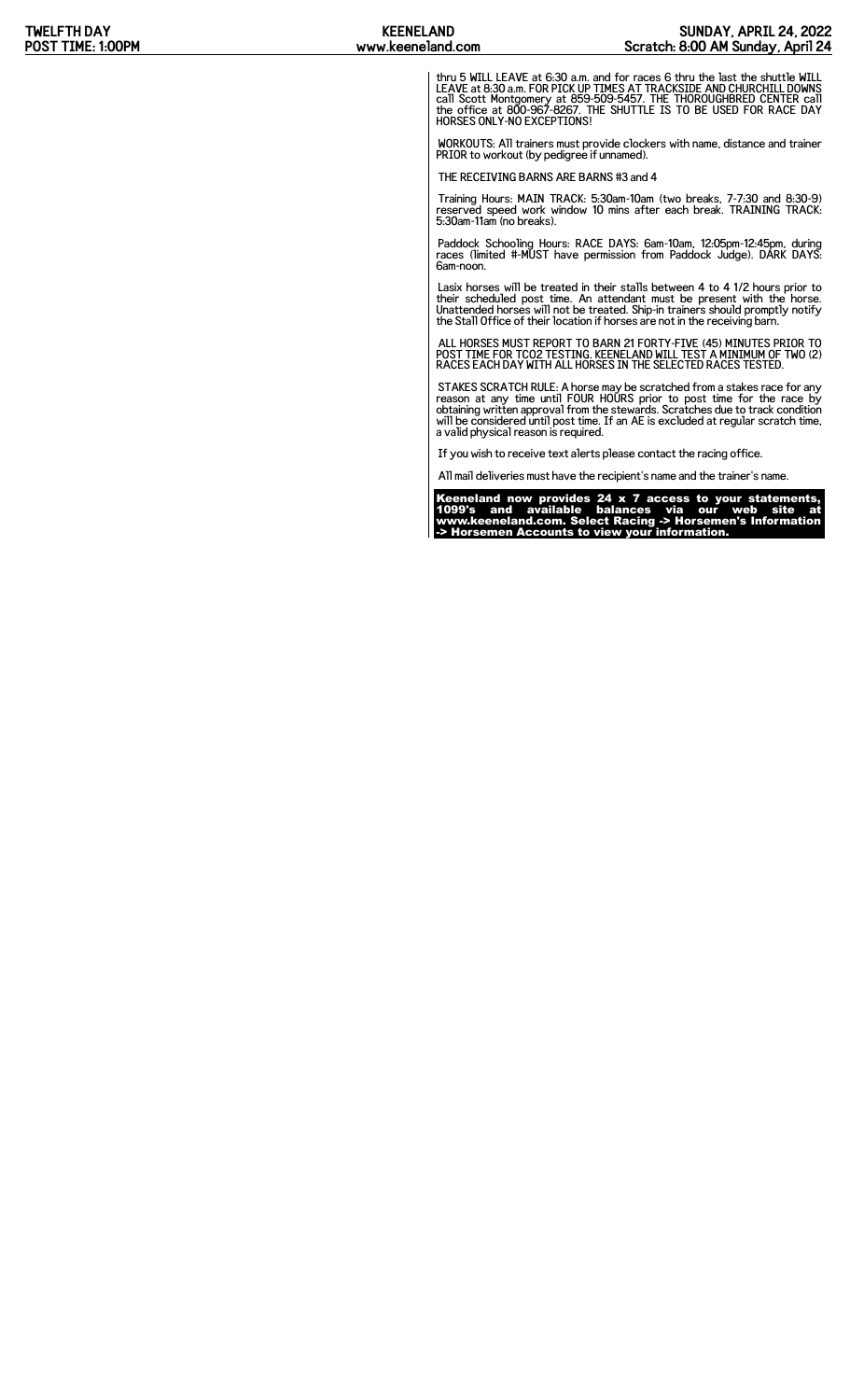thru 5 WILL LEAVE at 6:30 a.m. and for races 6 thru the last the shuttle WILL<br>LEAVE at 8:30 a.m. FOR PICK UP TIMES AT TRACKSIDE AND CHURCHILL DOWNS<br>call Scott Montgomery at 859-509-5457. THE THOROUGHBRED CENTER call<br>the of

WORKOUTS: All trainers must provide clockers with name, distance and trainer PRIOR to workout (by pedigree if unnamed).

THE RECEIVING BARNS ARE BARNS #3 and 4

Training Hours: MAIN TRACK: 5:30am-10am (two breaks, 7-7:30 and 8:30-9) reserved speed work window 10 mins after each break. TRAINING TRACK: 5:30am-11am (no breaks).

Paddock Schooling Hours: RACE DAYS: 6am-10am, 12:05pm-12:45pm, during races (limited #-MUST have permission from Paddock Judge). DARK DAYS: 6am-noon.

Lasix horses will be treated in their stalls between 4 to 4 1/2 hours prior to<br>their scheduled post time. An attendant must be present with the horse.<br>Unattended horses will not be treated. Ship-in trainers should promptly

ALL HORSES MUST REPORT TO BARN 21 FORTY-FIVE (45) MINUTES PRIOR TO POST TIME FOR TCO2 TESTING. KEENELAND WILL TEST A MINIMUM OF TWO (2) RACES EACH DAY WITH ALL HORSES IN THE SELECTED RACES TESTED.

STAKES SCRATCH RULE: A horse may be scratched from a stakes race for any<br>reason at any time until FOUR HOURS prior to post time for the race by<br>obtaining written approval from the stewards. Scratches due to track condition

If you wish to receive text alerts please contact the racing office.

All mail deliveries must have the recipient's name and the trainer's name.

Keeneland now provides 24 x 7 access to your statements, 1099's and available balances via our web site at www.keeneland.com. Select Racing -> Horsemen's Information -> Horsemen Accounts to view your information.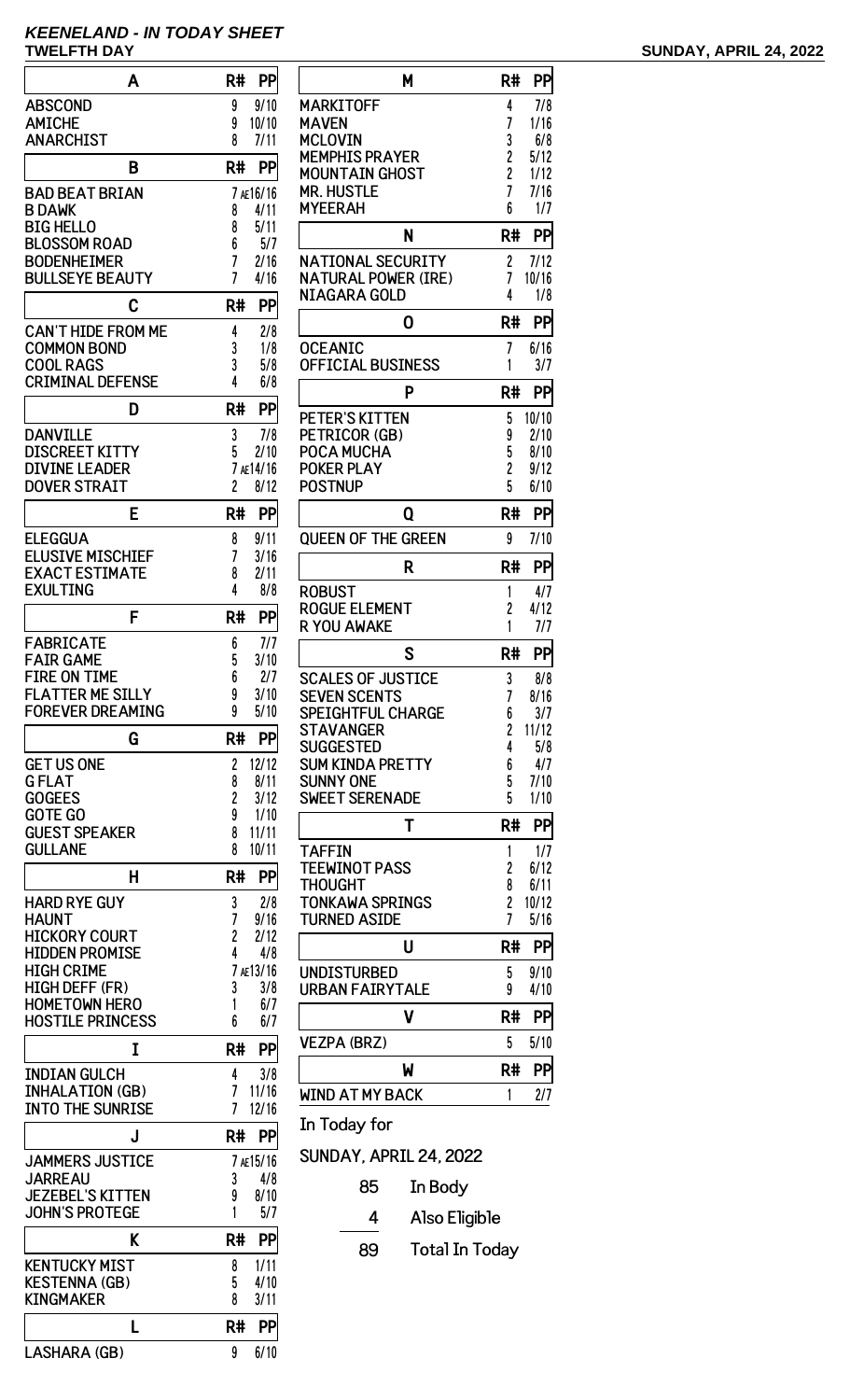## **KEENELAND - IN TODAY SHEET**

| Α                                                 | R#<br>PP                            |
|---------------------------------------------------|-------------------------------------|
| <b>ABSCOND</b>                                    | 9/10<br>9                           |
| <b>AMICHE</b><br><b>ANARCHIST</b>                 | 10/10<br>9<br>8<br>7/11             |
|                                                   |                                     |
| B                                                 | R#<br>PP                            |
| <b>BAD BEAT BRIAN</b><br><b>B DAWK</b>            | 7 AE16/16<br>4/11<br>8              |
| <b>BIG HELLO</b>                                  | 8<br>5/11                           |
| <b>BLOSSOM ROAD</b>                               | 6<br>5/7                            |
| <b>BODENHEIMER</b><br><b>BULLSEYE BEAUTY</b>      | 7<br>2/16<br>7<br>4/16              |
|                                                   |                                     |
| C                                                 | R#<br>PP                            |
| <b>CAN'T HIDE FROM ME</b><br><b>COMMON BOND</b>   | 2/8<br>4<br>3<br>1/8                |
| <b>COOL RAGS</b>                                  | 3<br>5/8                            |
| <b>CRIMINAL DEFENSE</b>                           | 4<br>6/8                            |
| D                                                 | PP<br>R#                            |
| <b>DANVILLE</b>                                   | 3<br>7/8                            |
| <b>DISCREET KITTY</b>                             | 5<br>2/10                           |
| <b>DIVINE LEADER</b><br><b>DOVER STRAIT</b>       | 7 AE14/16<br>$\overline{c}$<br>8/12 |
|                                                   |                                     |
| E                                                 | R#<br>PP                            |
| <b>ELEGGUA</b><br><b>ELUSIVE MISCHIEF</b>         | 9/11<br>8<br>7<br>3/16              |
| <b>EXACT ESTIMATE</b>                             | 2/11<br>8                           |
| <b>EXULTING</b>                                   | 4<br>8/8                            |
| F                                                 | R#<br>PP                            |
| <b>FABRICATE</b>                                  | 6<br>7/7                            |
| <b>FAIR GAME</b><br><b>FIRE ON TIME</b>           | 5<br>3/10<br>6<br>2/7               |
| <b>FLATTER ME SILLY</b>                           | 3/10<br>9                           |
| <b>FOREVER DREAMING</b>                           | 9<br>5/10                           |
| G                                                 | PP<br>R#                            |
| <b>GET US ONE</b>                                 | 12/12<br>2                          |
| <b>GFLAT</b><br><b>GOGEES</b>                     | 8<br>8/11<br>2<br>3/12              |
| <b>GOTE GO</b>                                    | 9<br>1/10                           |
| <b>GUEST SPEAKER</b>                              | 8<br>11/11                          |
| <b>GULLANE</b>                                    | 8<br>10/11                          |
| н                                                 | R#<br>PP                            |
| <b>HARD RYE GUY</b><br><b>HAUNT</b>               | 3<br>2/8<br>7<br>9/16               |
| <b>HICKORY COURT</b>                              | 2<br>2/12                           |
| <b>HIDDEN PROMISE</b>                             | 4<br>4/8                            |
| <b>HIGH CRIME</b><br><b>HIGH DEFF (FR)</b>        | 7 ae13/16<br>3<br>3/8               |
| <b>HOMETOWN HERO</b>                              | 1<br>6/7                            |
| <b>HOSTILE PRINCESS</b>                           | 6<br>6/7                            |
| I                                                 | PP<br>R#                            |
| <b>INDIAN GULCH</b>                               | 3/8<br>4                            |
| <b>INHALATION (GB)</b><br><b>INTO THE SUNRISE</b> | 11/16<br>7<br>7<br>12/16            |
|                                                   |                                     |
| J                                                 | R#<br>PP                            |
| <b>JAMMERS JUSTICE</b><br><b>JARREAU</b>          | 7 AE15/16<br>3<br>4/8               |
| JEZEBEL'S KITTEN                                  | 9<br>8/10                           |
| <b>JOHN'S PROTEGE</b>                             | 5/7<br>1                            |
| K                                                 | R#<br>PP                            |
| <b>KENTUCKY MIST</b>                              | 1/11<br>8                           |
| <b>KESTENNA (GB)</b><br>KINGMAKER                 | 5<br>4/10<br>8<br>3/11              |
| L                                                 | R#<br>PF                            |
| LASHARA (GB)                                      | 9<br>6/10                           |

| M                          | R#               | PP    |
|----------------------------|------------------|-------|
| MARKITOFF                  | 4                | 7/8   |
| <b>MAVEN</b>               | 7                | 1/16  |
| <b>MCLOVIN</b>             |                  | 6/8   |
| <b>MEMPHIS PRAYER</b>      | 3<br>2<br>2<br>7 | 5/12  |
| <b>MOUNTAIN GHOST</b>      |                  | 1/12  |
| Mr. Hustle                 |                  | 7/16  |
| <b>MYEERAH</b>             | 6                | 1/7   |
| N                          | R#               | PP    |
| <b>NATIONAL SECURITY</b>   | 2                | 7/12  |
| <b>NATURAL POWER (IRE)</b> | 7                | 10/16 |
| NIAGARA GOLD               | 4                | 1/8   |
| 0                          | R#               | PP    |
| <b>OCEANIC</b>             | 7                | 6/16  |
| OFFICIAL BUSINESS          | 1                | 3/7   |
| P                          | R#               | PP    |
| <b>PETER'S KITTEN</b>      | 5                | 10/10 |
| PETRICOR (GB)              | 9                | 2/10  |
| POCA MUCHA                 | 5                | 8/10  |
| <b>POKER PLAY</b>          | 2                | 9/12  |
| <b>POSTNUP</b>             | 5                | 6/10  |
| Q                          | R#               | PP    |
| <b>QUEEN OF THE GREEN</b>  | 9                | 7/10  |
| R                          | R#               | PP    |
| <b>ROBUST</b>              | 1                | 4/7   |
| <b>ROGUE ELEMENT</b>       | 2                | 4/12  |
| <b>R YOU AWAKE</b>         | 1                | 7/7   |
| S                          | R#               | PPI   |
| <b>SCALES OF JUSTICE</b>   | 3                | 8/8   |
| <b>SEVEN SCENTS</b>        | 7                | 8/16  |
| <b>SPEIGHTFUL CHARGE</b>   | 6                | 3/7   |
| <b>STAVANGER</b>           | 2                | 11/12 |
| SUGGESTED                  | 4                | 5/8   |
| <b>SUM KINDA PRETTY</b>    | 6                | 4/7   |
| <b>SUNNY ONE</b>           | 5                | 7/10  |
| <b>SWEET SERENADE</b>      | 5                | 1/10  |
| Т                          | R#               | PP    |
| <b>TAFFIN</b>              | 1                | 1/7   |
| <b>TEEWINOT PASS</b>       | 2                | 6/12  |
| THOUGHT                    | 8                | 6/11  |
| TONKAWA SPRINGS            | $\overline{c}$   | 10/12 |
| <b>TURNED ASIDE</b>        | 7                | 5/16  |
| U                          | R#               | PP    |
| UNDISTURBED                | 5                | 9/10  |
| <b>URBAN FAIRYTALE</b>     | 9                | 4/10  |
| ۷                          | R#               | PP    |
| <b>VEZPA (BRZ)</b>         | 5                | 5/10  |
| W                          | R#               | PP    |
| <b>WIND AT MY BACK</b>     | 1                | 2/7   |

In Today for

SUNDAY, APRIL 24, 2022

85 In Body

4 Also Eligible

89 Total In Today